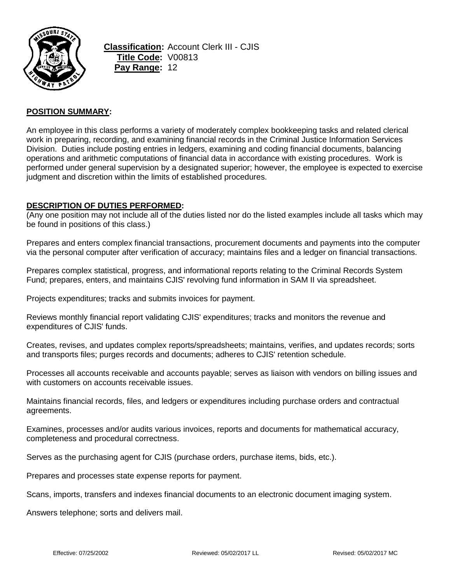

**Classification:** Account Clerk III - CJIS **Title Code:** V00813 **Pay Range:** 12

## **POSITION SUMMARY:**

An employee in this class performs a variety of moderately complex bookkeeping tasks and related clerical work in preparing, recording, and examining financial records in the Criminal Justice Information Services Division. Duties include posting entries in ledgers, examining and coding financial documents, balancing operations and arithmetic computations of financial data in accordance with existing procedures. Work is performed under general supervision by a designated superior; however, the employee is expected to exercise judgment and discretion within the limits of established procedures.

### **DESCRIPTION OF DUTIES PERFORMED:**

(Any one position may not include all of the duties listed nor do the listed examples include all tasks which may be found in positions of this class.)

Prepares and enters complex financial transactions, procurement documents and payments into the computer via the personal computer after verification of accuracy; maintains files and a ledger on financial transactions.

Prepares complex statistical, progress, and informational reports relating to the Criminal Records System Fund; prepares, enters, and maintains CJIS' revolving fund information in SAM II via spreadsheet.

Projects expenditures; tracks and submits invoices for payment.

Reviews monthly financial report validating CJIS' expenditures; tracks and monitors the revenue and expenditures of CJIS' funds.

Creates, revises, and updates complex reports/spreadsheets; maintains, verifies, and updates records; sorts and transports files; purges records and documents; adheres to CJIS' retention schedule.

Processes all accounts receivable and accounts payable; serves as liaison with vendors on billing issues and with customers on accounts receivable issues.

Maintains financial records, files, and ledgers or expenditures including purchase orders and contractual agreements.

Examines, processes and/or audits various invoices, reports and documents for mathematical accuracy, completeness and procedural correctness.

Serves as the purchasing agent for CJIS (purchase orders, purchase items, bids, etc.).

Prepares and processes state expense reports for payment.

Scans, imports, transfers and indexes financial documents to an electronic document imaging system.

Answers telephone; sorts and delivers mail.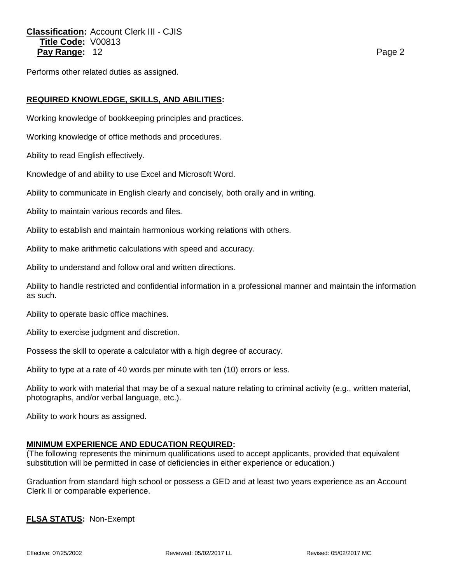# **Classification:** Account Clerk III - CJIS **Title Code:** V00813 **Pay Range:** 12 **Page 2 Page 2 Page 2 Page 2**

Performs other related duties as assigned.

## **REQUIRED KNOWLEDGE, SKILLS, AND ABILITIES:**

Working knowledge of bookkeeping principles and practices.

Working knowledge of office methods and procedures.

Ability to read English effectively.

Knowledge of and ability to use Excel and Microsoft Word.

Ability to communicate in English clearly and concisely, both orally and in writing.

Ability to maintain various records and files.

Ability to establish and maintain harmonious working relations with others.

Ability to make arithmetic calculations with speed and accuracy.

Ability to understand and follow oral and written directions.

Ability to handle restricted and confidential information in a professional manner and maintain the information as such.

Ability to operate basic office machines.

Ability to exercise judgment and discretion.

Possess the skill to operate a calculator with a high degree of accuracy.

Ability to type at a rate of 40 words per minute with ten (10) errors or less.

Ability to work with material that may be of a sexual nature relating to criminal activity (e.g., written material, photographs, and/or verbal language, etc.).

Ability to work hours as assigned.

### **MINIMUM EXPERIENCE AND EDUCATION REQUIRED:**

(The following represents the minimum qualifications used to accept applicants, provided that equivalent substitution will be permitted in case of deficiencies in either experience or education.)

Graduation from standard high school or possess a GED and at least two years experience as an Account Clerk II or comparable experience.

**FLSA STATUS:** Non-Exempt